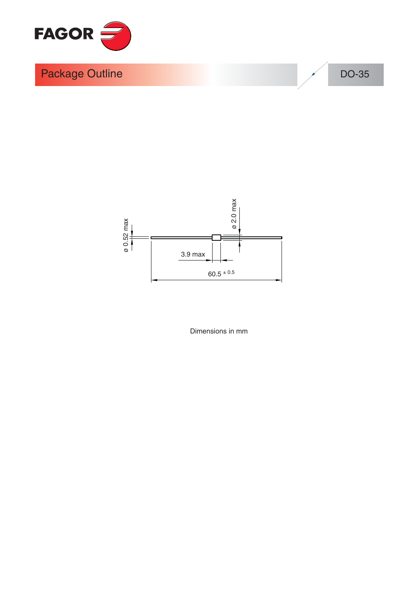

DO-35



Dimensions in mm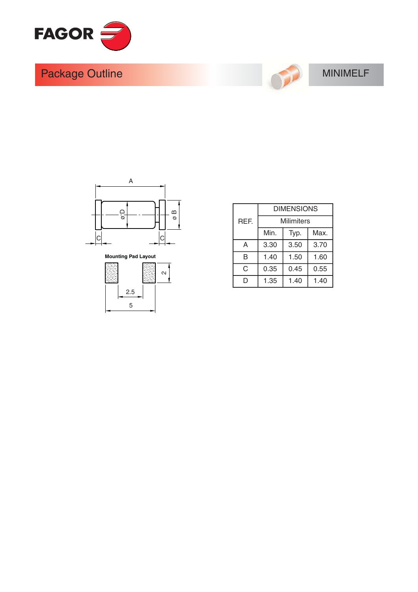



#### **MINIMELF**





|      | <b>DIMENSIONS</b>    |      |      |  |  |  |  |
|------|----------------------|------|------|--|--|--|--|
| REF. | Milimiters           |      |      |  |  |  |  |
|      | Min.                 | Max. |      |  |  |  |  |
| A    | 3.30                 | 3.70 |      |  |  |  |  |
| B    | 1.50<br>1.40<br>1.60 |      |      |  |  |  |  |
| C    | 0.35                 | 0.45 | 0.55 |  |  |  |  |
| D    | 1.35<br>1.40<br>1.40 |      |      |  |  |  |  |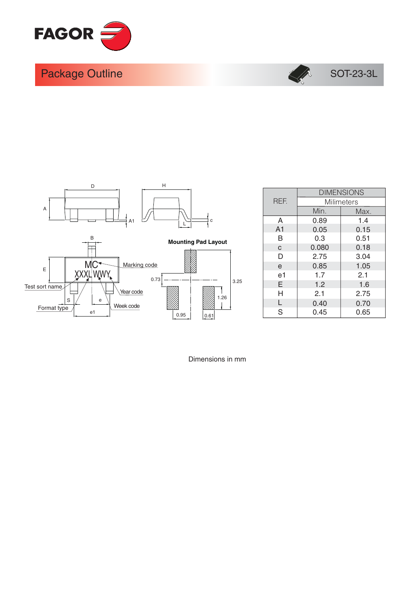



#### SOT-23-3L



|                |       | <b>DIMENSIONS</b> |
|----------------|-------|-------------------|
| REF.           |       | <b>Milimeters</b> |
|                | Min.  | Max.              |
| A              | 0.89  | 1.4               |
| A <sub>1</sub> | 0.05  | 0.15              |
| B              | 0.3   | 0.51              |
| C              | 0.080 | 0.18              |
| D              | 2.75  | 3.04              |
| e              | 0.85  | 1.05              |
| e1             | 1.7   | 2.1               |
| E              | 1.2   | 1.6               |
| н              | 2.1   | 2.75              |
| L              | 0.40  | 0.70              |
| S              | 0.45  | 0.65              |

Dimensions in mm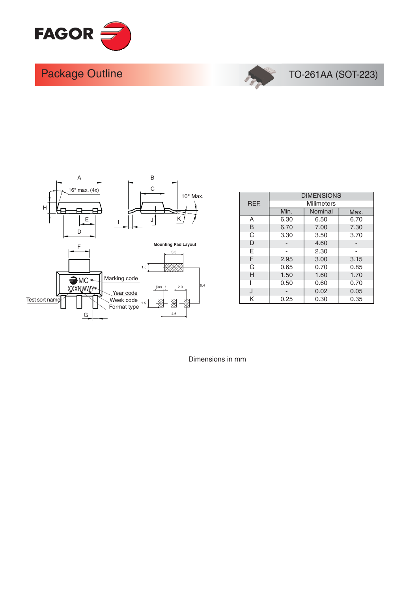



### TO-261AA (SOT-223)



|            | <b>DIMENSIONS</b> |                   |      |  |  |  |  |
|------------|-------------------|-------------------|------|--|--|--|--|
| <b>REE</b> |                   | <b>Milimeters</b> |      |  |  |  |  |
|            | Min.              | Nominal           | Max. |  |  |  |  |
| Α          | 6.30              | 6.50              | 6.70 |  |  |  |  |
| B          | 6.70              | 7.00              | 7.30 |  |  |  |  |
| C          | 3.30              | 3.50              | 3.70 |  |  |  |  |
| D          |                   | 4.60              |      |  |  |  |  |
| F          |                   | 2.30              |      |  |  |  |  |
| F          | 2.95              | 3.00              | 3.15 |  |  |  |  |
| G          | 0.65              | 0.70              | 0.85 |  |  |  |  |
| H          | 1.50              | 1.60              | 1.70 |  |  |  |  |
|            | 0.50              | 0.60              | 0.70 |  |  |  |  |
| J          |                   | 0.02              | 0.05 |  |  |  |  |
| Κ          | 0.25              | 0.30              | 0.35 |  |  |  |  |

Dimensions in mm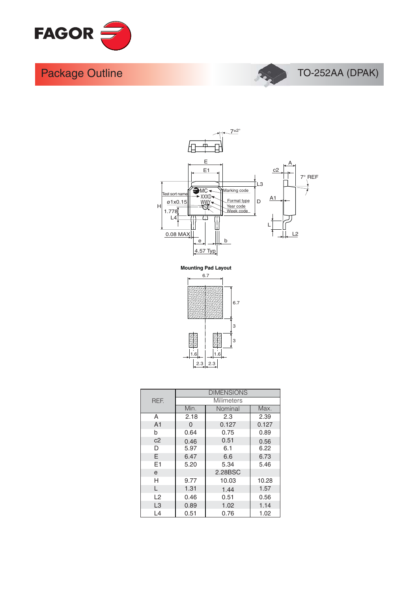





**Mounting Pad Layout** 



|                | <b>DIMENSIONS</b> |            |       |  |  |  |  |
|----------------|-------------------|------------|-------|--|--|--|--|
| <b>RFF</b>     |                   | Milimeters |       |  |  |  |  |
|                | Min.              | Nominal    | Max.  |  |  |  |  |
| A              | 2.18              | 2.3        | 2.39  |  |  |  |  |
| A <sub>1</sub> | $\Omega$          | 0.127      | 0.127 |  |  |  |  |
| b              | 0.64              | 0.75       | 0.89  |  |  |  |  |
| c2             | 0.46              | 0.51       | 0.56  |  |  |  |  |
| D              | 5.97              | 6.1        | 6.22  |  |  |  |  |
| E              | 6.47              | 6.6        | 6.73  |  |  |  |  |
| F1             | 5.20              | 5.34       | 5.46  |  |  |  |  |
| e              |                   |            |       |  |  |  |  |
| н              | 9.77              | 10.03      | 10.28 |  |  |  |  |
| L              | 1.31              | 1.44       | 1.57  |  |  |  |  |
| L2             | 0.46              | 0.51       | 0.56  |  |  |  |  |
| L <sub>3</sub> | 0.89              | 1.02       | 1.14  |  |  |  |  |
| L4             | 0.51              | 0.76       | 1.02  |  |  |  |  |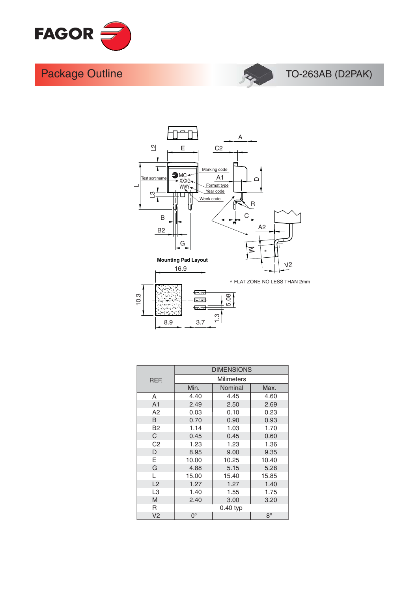



#### TO-263AB (D2PAK)



|                | <b>DIMENSIONS</b>          |                   |       |  |  |  |
|----------------|----------------------------|-------------------|-------|--|--|--|
| <b>REE</b>     |                            | <b>Milimeters</b> |       |  |  |  |
|                | Min.                       | Max.              |       |  |  |  |
| A              | 4.40                       | 4.45              | 4.60  |  |  |  |
| A <sub>1</sub> | 2.49                       | 2.50              | 2.69  |  |  |  |
| A2             | 0.03                       | 0.10              | 0.23  |  |  |  |
| B              | 0.70                       | 0.90              | 0.93  |  |  |  |
| B <sub>2</sub> | 1.14                       | 1.03              | 1.70  |  |  |  |
| C.             | 0.45                       | 0.45              | 0.60  |  |  |  |
| C <sub>2</sub> | 1.23                       | 1.23              | 1.36  |  |  |  |
| D              | 8.95                       | 9.00              | 9.35  |  |  |  |
| E              | 10.00                      | 10.25             | 10.40 |  |  |  |
| G              | 4.88                       | 5.15              | 5.28  |  |  |  |
| L              | 15.00                      | 15.40             | 15.85 |  |  |  |
| L2             | 1.27                       | 1.27              | 1.40  |  |  |  |
| L <sub>3</sub> | 1.40                       | 1.55              | 1.75  |  |  |  |
| M              | 2.40                       | 3.00              | 3.20  |  |  |  |
| R              |                            | 0.40 typ          |       |  |  |  |
| V <sub>2</sub> | $8^{\circ}$<br>$0^{\circ}$ |                   |       |  |  |  |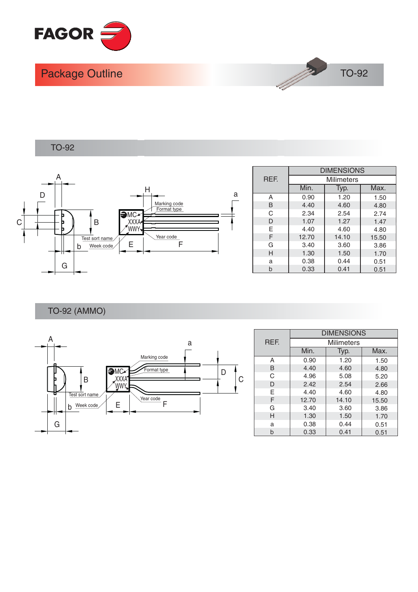

**TO-92** 

**TO-92** 



|      | <b>DIMENSIONS</b> |       |       |  |  |  |  |  |
|------|-------------------|-------|-------|--|--|--|--|--|
| REF. | <b>Milimeters</b> |       |       |  |  |  |  |  |
|      | Min.              | Typ.  | Max.  |  |  |  |  |  |
| Α    | 0.90              | 1.20  | 1.50  |  |  |  |  |  |
| B    | 4.40              | 4.60  | 4.80  |  |  |  |  |  |
| C    | 2.34              | 2.54  | 2.74  |  |  |  |  |  |
| D    | 1.07              | 1.27  | 1.47  |  |  |  |  |  |
| E    | 4.40              | 4.60  | 4.80  |  |  |  |  |  |
| F    | 12.70             | 14.10 | 15.50 |  |  |  |  |  |
| G    | 3.40              | 3.60  | 3.86  |  |  |  |  |  |
| Н    | 1.30              | 1.50  | 1.70  |  |  |  |  |  |
| a    | 0.38              | 0.44  | 0.51  |  |  |  |  |  |
|      | 0.33              | 0.41  | 0.51  |  |  |  |  |  |

1 May

**TO-92 (AMMO)** 



|      | <b>DIMENSIONS</b> |       |       |  |  |  |  |
|------|-------------------|-------|-------|--|--|--|--|
| REF. | <b>Milimeters</b> |       |       |  |  |  |  |
|      | Min.              | Typ.  | Max.  |  |  |  |  |
| А    | 0.90              | 1.20  | 1.50  |  |  |  |  |
| B    | 4.40              | 4.60  | 4.80  |  |  |  |  |
| C    | 4.96              | 5.08  | 5.20  |  |  |  |  |
| D    | 2.42              | 2.54  | 2.66  |  |  |  |  |
| Е    | 4.40              | 4.60  | 4.80  |  |  |  |  |
| F    | 12.70             | 14.10 | 15.50 |  |  |  |  |
| G    | 3.40              | 3.60  | 3.86  |  |  |  |  |
| н    | 1.30              | 1.50  | 1.70  |  |  |  |  |
| a    | 0.38              | 0.44  | 0.51  |  |  |  |  |
| b    | 0.33              | 0.41  | 0.51  |  |  |  |  |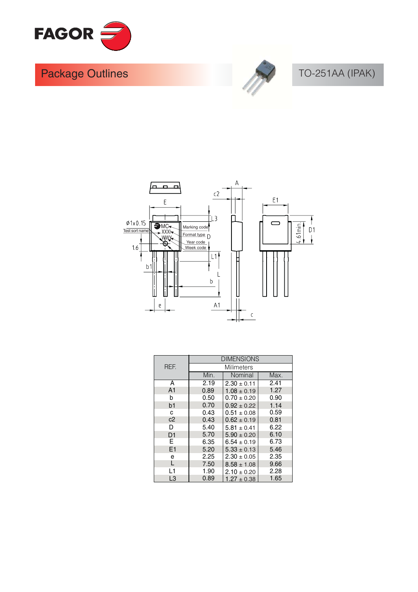



# TO-251AA (IPAK)



|                | <b>DIMENSIONS</b> |                   |      |  |  |  |
|----------------|-------------------|-------------------|------|--|--|--|
| REF.           |                   | <b>Milimeters</b> |      |  |  |  |
|                | Min.              | Nominal           | Max. |  |  |  |
| Α              | 2.19              | $2.30 \pm 0.11$   | 2.41 |  |  |  |
| A <sub>1</sub> | 0.89              | $1.08 \pm 0.19$   | 1.27 |  |  |  |
| b              | 0.50              | $0.70 \pm 0.20$   | 0.90 |  |  |  |
| b <sub>1</sub> | 0.70              | $0.92 \pm 0.22$   | 1.14 |  |  |  |
| c              | 0.43              | $0.51 \pm 0.08$   | 0.59 |  |  |  |
| c2             | 0.43              | $0.62 \pm 0.19$   | 0.81 |  |  |  |
| D              | 5.40              | $5.81 \pm 0.41$   | 6.22 |  |  |  |
| D <sub>1</sub> | 5.70              | $5.90 \pm 0.20$   | 6.10 |  |  |  |
| E.             | 6.35              | 6.73              |      |  |  |  |
| E1             | 5.20              | 5.46              |      |  |  |  |
| e              | 2.25              | $2.30 \pm 0.05$   | 2.35 |  |  |  |
| L              | 7.50              | $8.58 \pm 1.08$   | 9.66 |  |  |  |
| L1             | 1.90              | $2.10 \pm 0.20$   | 2.28 |  |  |  |
| L3             | 0.89              | $1.27 \pm 0.38$   | 1.65 |  |  |  |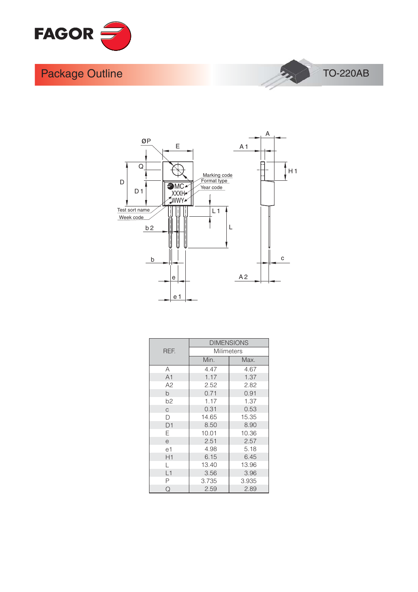





|                |                   | <b>DIMENSIONS</b> |  |  |  |
|----------------|-------------------|-------------------|--|--|--|
| REF.           | <b>Milimeters</b> |                   |  |  |  |
|                | Min.              | Max.              |  |  |  |
| A              | 4.47              | 4.67              |  |  |  |
| A <sub>1</sub> | 1.17              | 1.37              |  |  |  |
| A2             | 2.52              | 2.82              |  |  |  |
| b              | 0.71              | 0.91              |  |  |  |
| b <sub>2</sub> | 1.17              | 1.37              |  |  |  |
| C.             | 0.31              | 0.53              |  |  |  |
| D              | 14.65             | 15.35             |  |  |  |
| D1             | 8.50              | 8.90              |  |  |  |
| E.             | 10.01             | 10.36             |  |  |  |
| e              | 2.51              | 2.57              |  |  |  |
| e1             | 4.98              | 5.18              |  |  |  |
| H1             | 6.15              | 6.45              |  |  |  |
| L              | 13.40             | 13.96             |  |  |  |
| L1             | 3.56              | 3.96              |  |  |  |
| Ρ              | 3.735             | 3.935             |  |  |  |
| Q              | 2.59              | 2.89              |  |  |  |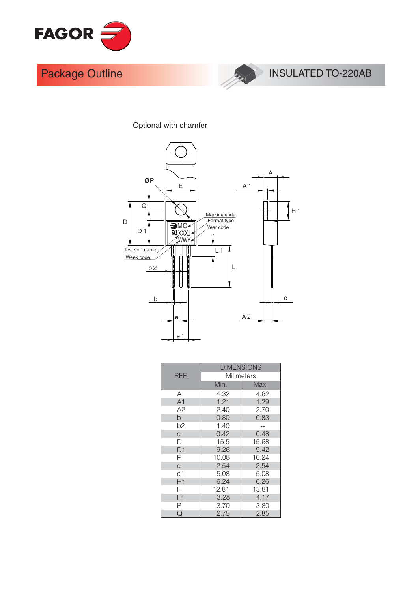



#### Optional with chamfer



|                | <b>DIMENSIONS</b> |                   |  |  |  |  |
|----------------|-------------------|-------------------|--|--|--|--|
| REF.           |                   | <b>Milimeters</b> |  |  |  |  |
|                | Min.              | Max.              |  |  |  |  |
| Α              | 4.32              | 4.62              |  |  |  |  |
| A1             | 1.21              | 1.29              |  |  |  |  |
| A2             | 2.40              | 2.70              |  |  |  |  |
| b              | 0.80              | 0.83              |  |  |  |  |
| b <sub>2</sub> | 1.40              |                   |  |  |  |  |
| $\mathsf{C}$   | 0.42              | 0.48              |  |  |  |  |
| D              | 15.5              | 15.68             |  |  |  |  |
| D <sub>1</sub> | 9.26              | 9.42              |  |  |  |  |
| Ε              | 10.08             | 10.24             |  |  |  |  |
| e              | 2.54              | 2.54              |  |  |  |  |
| e1             | 5.08              | 5.08              |  |  |  |  |
| H1             | 6.24              | 6.26              |  |  |  |  |
|                | 12.81             | 13.81             |  |  |  |  |
| L1             | 3.28              | 4.17              |  |  |  |  |
| Ρ              | 3.70              | 3.80              |  |  |  |  |
| Q              | 2.75              | 2.85              |  |  |  |  |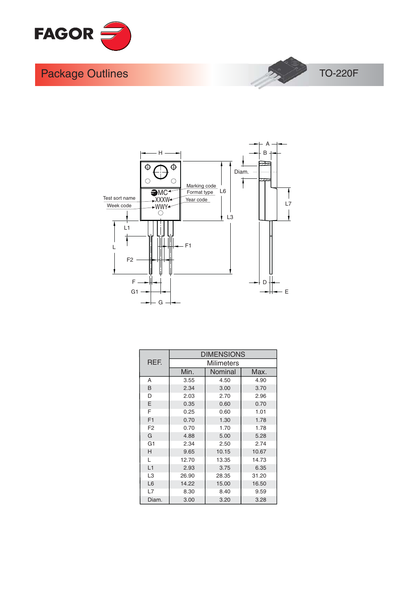





|                |       | <b>DIMENSIONS</b> |       |  |  |  |
|----------------|-------|-------------------|-------|--|--|--|
| REF.           |       | Milimeters        |       |  |  |  |
|                | Min.  | Nominal           |       |  |  |  |
| A              | 3.55  | 4.50              | 4.90  |  |  |  |
| B              | 2.34  | 3.00              | 3.70  |  |  |  |
| D              | 2.03  | 2.70              | 2.96  |  |  |  |
| E              | 0.35  | 0.60              | 0.70  |  |  |  |
| F              | 0.25  | 0.60              | 1.01  |  |  |  |
| F1             | 0.70  | 1.30              | 1.78  |  |  |  |
| F <sub>2</sub> | 0.70  | 1.70              | 1.78  |  |  |  |
| G              | 4.88  | 5.00              | 5.28  |  |  |  |
| G <sub>1</sub> | 2.34  | 2.50              | 2.74  |  |  |  |
| Н              | 9.65  | 10.15             | 10.67 |  |  |  |
| L              | 12.70 | 13.35             | 14.73 |  |  |  |
| L1             | 2.93  | 3.75              | 6.35  |  |  |  |
| L <sub>3</sub> | 26.90 | 28.35             | 31.20 |  |  |  |
| L <sub>6</sub> | 14.22 | 15.00             | 16.50 |  |  |  |
| L7             | 8.30  | 8.40              | 9.59  |  |  |  |
| Diam.          | 3.00  | 3.20              | 3.28  |  |  |  |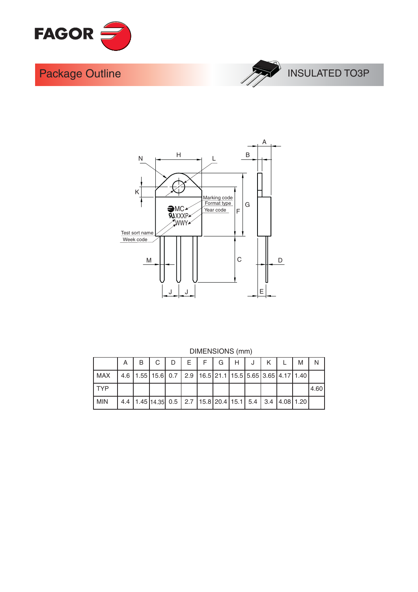





|            | A I |  |  |  | B   C   D   E   F   G   H   J                                                  | K | М |       |
|------------|-----|--|--|--|--------------------------------------------------------------------------------|---|---|-------|
| MAX        |     |  |  |  | 4.6   1.55   15.6   0.7   2.9   16.5   21.1   15.5   5.65   3.65   4.17   1.40 |   |   |       |
| l TYP      |     |  |  |  |                                                                                |   |   | 14.60 |
| <b>MIN</b> |     |  |  |  | 4.4   1.45   14.35   0.5   2.7   15.8   20.4   15.1   5.4   3.4   4.08   1.20  |   |   |       |

#### **DIMENSIONS** (mm)